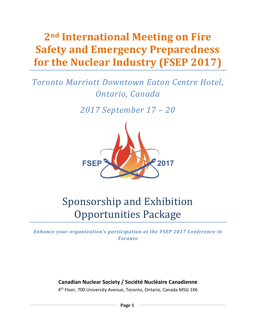# **2nd International Meeting on Fire Safety and Emergency Preparedness for the Nuclear Industry (FSEP 2017)**

# *Toronto Marriott Downtown Eaton Centre Hotel, Ontario, Canada*

*2017 September 17 – 20*



# Sponsorship and Exhibition Opportunities Package

*Enhance your organization's participation at the FSEP 2017 Conference in Toronto*

# **Canadian Nuclear Society / Société Nucléaire Canadienne**

4<sup>th</sup> Floor, 700 University Avenue, Toronto, Ontario, Canada M5G 1X6

**Page 1**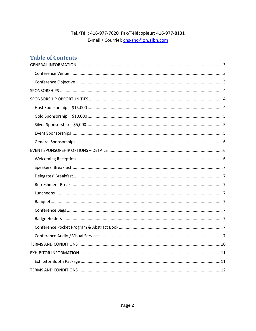# Tel./Tél.: 416-977-7620 Fax/Télécopieur: 416-977-8131 E-mail / Courriel: cns-snc@on.aibn.com

# **Table of Contents**

| Host Sponsorship |
|------------------|
| Gold Sponsorship |
|                  |
|                  |
|                  |
|                  |
|                  |
|                  |
|                  |
|                  |
|                  |
|                  |
|                  |
|                  |
|                  |
|                  |
|                  |
|                  |
|                  |
|                  |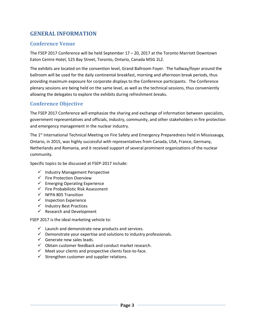# <span id="page-2-0"></span>**GENERAL INFORMATION**

# <span id="page-2-1"></span>**Conference Venue**

The FSEP 2017 Conference will be held September 17 – 20, 2017 at the Toronto Marriott Downtown Eaton Centre Hotel, 525 Bay Street, Toronto, Ontario, Canada M5G 2L2.

The exhibits are located on the convention level, Grand Ballroom Foyer. The hallway/foyer around the ballroom will be used for the daily continental breakfast, morning and afternoon break periods, thus providing maximum exposure for corporate displays to the Conference participants. The Conference plenary sessions are being held on the same level, as well as the technical sessions, thus conveniently allowing the delegates to explore the exhibits during refreshment breaks.

# <span id="page-2-2"></span>**Conference Objective**

The FSEP 2017 Conference will emphasize the sharing and exchange of information between specialists, government representatives and officials, industry, community, and other stakeholders in fire protection and emergency management in the nuclear industry.

The 1<sup>st</sup> International Technical Meeting on Fire Safety and Emergency Preparedness held in Mississauga, Ontario, in 2015, was highly successful with representatives from Canada, USA, France, Germany, Netherlands and Romania, and it received support of several prominent organizations of the nuclear community.

Specific topics to be discussed at FSEP-2017 include:

- $\checkmark$  Industry Management Perspective
- $\checkmark$  Fire Protection Overview
- $\checkmark$  Emerging Operating Experience
- $\checkmark$  Fire Probabilistic Risk Assessment
- $\checkmark$  NFPA 805 Transition
- $\checkmark$  Inspection Experience
- $\checkmark$  Industry Best Practices
- $\checkmark$  Research and Development

FSEP 2017 is the ideal marketing vehicle to:

- $\checkmark$  Launch and demonstrate new products and services.
- $\checkmark$  Demonstrate your expertise and solutions to industry professionals.
- $\checkmark$  Generate new sales leads.
- $\checkmark$  Obtain customer feedback and conduct market research.
- $\checkmark$  Meet your clients and prospective clients face-to-face.
- $\checkmark$  Strengthen customer and supplier relations.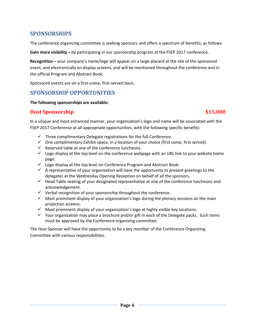# <span id="page-3-0"></span>**SPONSORSHIPS**

The conference organizing committee is seeking sponsors and offers a spectrum of benefits, as follows:

**Gain more visibility –** by participating in our sponsorship program at the FSEP 2017 conference.

**Recognition –** your company's name/logo will appear on a large placard at the site of the sponsored event, and electronically on display screens, and will be mentioned throughout the conference and in the official Program and Abstract Book.

Sponsored events are on a first-come, first-served basis.

# <span id="page-3-1"></span>**SPONSORSHIP OPPORTUNITIES**

**The following sponsorships are available:**

# <span id="page-3-2"></span>**Host Sponsorship \$15,000**

In a unique and most enhanced manner, your organization's logo and name will be associated with the FSEP 2017 Conference at all appropriate opportunities, with the following specific benefits:

- $\checkmark$  Three complimentary Delegate registrations for the full Conference.
- $\checkmark$  One complimentary Exhibit space, in a location of your choice (first come, first served).
- $\checkmark$  Reserved table at one of the conference luncheons.
- $\checkmark$  Logo display at the top level on the conference webpage with an URL link to your website home page.
- $\checkmark$  Logo display at the top level on Conference Program and Abstract Book.
- $\checkmark$  A representative of your organization will have the opportunity to present greetings to the delegates at the Wednesday Opening Reception on behalf of all the sponsors.
- $\checkmark$  Head Table seating of your designated representative at one of the conference luncheons and acknowledgement.
- $\checkmark$  Verbal recognition of your sponsorship throughout the conference.
- $\checkmark$  Most prominent display of your organization's logo during the plenary sessions on the main projection screens.
- $\checkmark$  Most prominent display of your organization's logo at highly visible key locations.
- $\checkmark$  Your organization may place a brochure and/or gift in each of the Delegate packs. Such items must be approved by the Conference organizing committee.

The Host Sponsor will have the opportunity to be a key member of the Conference Organizing Committee with various responsibilities.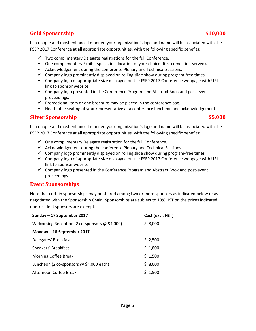#### $\checkmark$  Company logo presented in the Conference Program and Abstract Book and post-event proceedings.

link to sponsor website.

 $\checkmark$  Promotional item or one brochure may be placed in the conference bag.

 $\checkmark$  Acknowledgement during the conference Plenary and Technical Sessions.

 $\checkmark$  Head-table seating of your representative at a conference luncheon and acknowledgement.

 $\checkmark$  Company logo of appropriate size displayed on the FSEP 2017 Conference webpage with URL

In a unique and most enhanced manner, your organization's logo and name will be associated with the

 $\checkmark$  One complimentary Exhibit space, in a location of your choice (first come, first served).

 $\checkmark$  Company logo prominently displayed on rolling slide show during program-free times.

FSEP 2017 Conference at all appropriate opportunities, with the following specific benefits:

 $\checkmark$  Two complimentary Delegate registrations for the full Conference.

#### <span id="page-4-1"></span>**Silver Sponsorship \$5,000**

In a unique and most enhanced manner, your organization's logo and name will be associated with the FSEP 2017 Conference at all appropriate opportunities, with the following specific benefits:

- $\checkmark$  One complimentary Delegate registration for the full Conference.
- $\checkmark$  Acknowledgement during the conference Plenary and Technical Sessions.
- $\checkmark$  Company logo prominently displayed on rolling slide show during program-free times.
- $\checkmark$  Company logo of appropriate size displayed on the FSEP 2017 Conference webpage with URL link to sponsor website.
- $\checkmark$  Company logo presented in the Conference Program and Abstract Book and post-event proceedings.

#### <span id="page-4-2"></span>**Event Sponsorships**

Note that certain sponsorships may be shared among two or more sponsors as indicated below or as negotiated with the Sponsorship Chair. Sponsorships are subject to 13% HST on the prices indicated; non-resident sponsors are exempt.

| Sunday - 17 September 2017                           | Cost (excl. HST) |
|------------------------------------------------------|------------------|
| Welcoming Reception (2 co-sponsors $\omega$ \$4,000) | \$8,000          |
| Monday - 18 September 2017                           |                  |
| Delegates' Breakfast                                 | \$2,500          |
| Speakers' Breakfast                                  | \$1,800          |
| <b>Morning Coffee Break</b>                          | \$1,500          |
| Luncheon (2 co-sponsors $@$ \$4,000 each)            | \$8,000          |
| Afternoon Coffee Break                               | \$1,500          |

#### <span id="page-4-0"></span>**Gold Sponsorship \$10,000**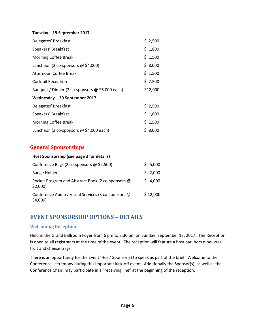#### **Tuesday – 19 September 2017**

| Delegates' Breakfast                            | \$2,500  |
|-------------------------------------------------|----------|
| Speakers' Breakfast                             | \$1,800  |
| Morning Coffee Break                            | \$1,500  |
| Luncheon (2 co-sponsors $@$ \$4,000)            | \$8,000  |
| Afternoon Coffee Break                          | \$1,500  |
| <b>Cocktail Reception</b>                       | \$2,500  |
| Banquet / Dinner (2 co-sponsors @ \$6,000 each) | \$12,000 |
| Wednesday - 20 September 2017                   |          |
| Delegates' Breakfast                            | \$2,500  |
| Speakers' Breakfast                             | \$1,800  |
| <b>Morning Coffee Break</b>                     | \$1,500  |
| Luncheon (2 co-sponsors $@$ \$4,000 each)       | \$8,000  |

# <span id="page-5-0"></span>**General Sponsorships**

#### **Host Sponsorship (see page 3 for details)**

| Conference Bags (2 co-sponsors @ \$2,500)                         | \$5,000  |
|-------------------------------------------------------------------|----------|
| <b>Badge Holders</b>                                              | \$2,000  |
| Pocket Program and Abstract Book (2 co-sponsors @<br>\$2,000      | \$4,000  |
| Conference Audio / Visual Services (3 co-sponsors @<br>$$4,000$ ) | \$12,000 |

# <span id="page-5-1"></span>**EVENT SPONSORSHIP OPTIONS – DETAILS**

#### <span id="page-5-2"></span>**Welcoming Reception**

Held in the Grand Ballroom Foyer from 6 pm to 8:30 pm on Sunday, September 17, 2017. The Reception is open to all registrants at the time of the event. The reception will feature a host bar, hors d'oeuvres, fruit and cheese trays.

There is an opportunity for the Event 'Host' Sponsor(s) to speak as part of the brief "Welcome to the Conference" ceremony during this important kick-off event. Additionally the Sponsor(s), as well as the Conference Chair, may participate in a "receiving line" at the beginning of the reception.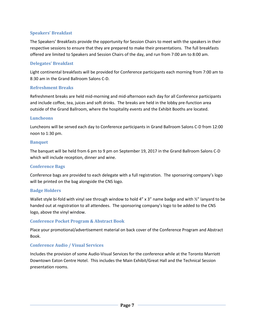#### <span id="page-6-0"></span>**Speakers' Breakfast**

The Speakers' Breakfasts provide the opportunity for Session Chairs to meet with the speakers in their respective sessions to ensure that they are prepared to make their presentations. The full breakfasts offered are limited to Speakers and Session Chairs of the day, and run from 7:00 am to 8:00 am.

#### <span id="page-6-1"></span>**Delegates' Breakfast**

Light continental breakfasts will be provided for Conference participants each morning from 7:00 am to 8:30 am in the Grand Ballroom Salons C-D.

#### <span id="page-6-2"></span>**Refreshment Breaks**

Refreshment breaks are held mid-morning and mid-afternoon each day for all Conference participants and include coffee, tea, juices and soft drinks. The breaks are held in the lobby pre-function area outside of the Grand Ballroom, where the hospitality events and the Exhibit Booths are located.

#### <span id="page-6-3"></span>**Luncheons**

Luncheons will be served each day to Conference participants in Grand Ballroom Salons C-D from 12:00 noon to 1:30 pm.

#### <span id="page-6-4"></span>**Banquet**

The banquet will be held from 6 pm to 9 pm on September 19, 2017 in the Grand Ballroom Salons C-D which will include reception, dinner and wine.

### <span id="page-6-5"></span>**Conference Bags**

Conference bags are provided to each delegate with a full registration. The sponsoring company's logo will be printed on the bag alongside the CNS logo.

### <span id="page-6-6"></span>**Badge Holders**

Wallet style bi-fold with vinyl see through window to hold 4" x 3" name badge and with 1/2" lanyard to be handed out at registration to all attendees. The sponsoring company's logo to be added to the CNS logo, above the vinyl window.

### <span id="page-6-7"></span>**Conference Pocket Program & Abstract Book**

Place your promotional/advertisement material on back cover of the Conference Program and Abstract Book.

### <span id="page-6-8"></span>**Conference Audio / Visual Services**

Includes the provision of some Audio-Visual Services for the conference while at the Toronto Marriott Downtown Eaton Centre Hotel. This includes the Main Exhibit/Great Hall and the Technical Session presentation rooms.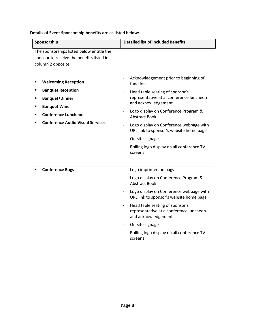**Details of Event Sponsorship benefits are as listed below:**

| Sponsorship                                                                                                                                                                     | <b>Detailed list of included Benefits</b>                                                                                                                                                                                                                                                                                                                                                |  |
|---------------------------------------------------------------------------------------------------------------------------------------------------------------------------------|------------------------------------------------------------------------------------------------------------------------------------------------------------------------------------------------------------------------------------------------------------------------------------------------------------------------------------------------------------------------------------------|--|
| The sponsorships listed below entitle the<br>sponsor to receive the benefits listed in<br>column 2 opposite.                                                                    |                                                                                                                                                                                                                                                                                                                                                                                          |  |
| <b>Welcoming Reception</b><br><b>Banquet Reception</b><br><b>Banquet/Dinner</b><br><b>Banquet Wine</b><br><b>Conference Luncheon</b><br><b>Conference Audio Visual Services</b> | Acknowledgement prior to beginning of<br>function.<br>Head table seating of sponsor's<br>representative at a conference luncheon<br>and acknowledgement<br>Logo display on Conference Program &<br><b>Abstract Book</b><br>Logo display on Conference webpage with<br>URL link to sponsor's website home page<br>On-site signage<br>Rolling logo display on all conference TV<br>screens |  |
| <b>Conference Bags</b>                                                                                                                                                          | Logo imprinted on bags<br>$\frac{1}{2}$<br>Logo display on Conference Program &<br><b>Abstract Book</b><br>Logo display on Conference webpage with<br>URL link to sponsor's website home page<br>Head table seating of sponsor's<br>representative at a conference luncheon<br>and acknowledgement<br>On-site signage<br>Rolling logo display on all conference TV<br>screens            |  |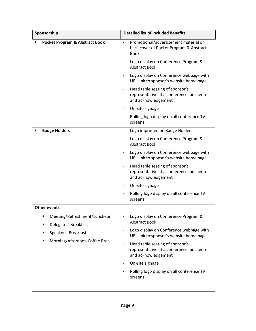| Sponsorship                                                     | <b>Detailed list of included Benefits</b>                                                             |
|-----------------------------------------------------------------|-------------------------------------------------------------------------------------------------------|
| <b>Pocket Program &amp; Abstract Book</b>                       | Promotional/advertisement material on<br>÷,<br>back cover of Pocket Program & Abstract<br><b>Book</b> |
|                                                                 | Logo display on Conference Program &<br><b>Abstract Book</b>                                          |
|                                                                 | Logo display on Conference webpage with<br>URL link to sponsor's website home page                    |
|                                                                 | Head table seating of sponsor's<br>representative at a conference luncheon<br>and acknowledgement     |
|                                                                 | On-site signage                                                                                       |
|                                                                 | Rolling logo display on all conference TV<br>screens                                                  |
| <b>Badge Holders</b>                                            | Logo imprinted on Badge Holders<br>٠                                                                  |
|                                                                 | Logo display on Conference Program &<br><b>Abstract Book</b>                                          |
|                                                                 | Logo display on Conference webpage with<br>URL link to sponsor's website home page                    |
|                                                                 | Head table seating of sponsor's<br>representative at a conference luncheon<br>and acknowledgement     |
|                                                                 | On-site signage                                                                                       |
|                                                                 | Rolling logo display on all conference TV<br>screens                                                  |
| <b>Other events</b>                                             |                                                                                                       |
| Meeting/Refreshment/Luncheon<br>Delegates' Breakfast<br>п       | Logo display on Conference Program &<br><b>Abstract Book</b>                                          |
| Speakers' Breakfast<br>٠<br>Morning/Afternoon Coffee Break<br>п | Logo display on Conference webpage with<br>$\blacksquare$<br>URL link to sponsor's website home page  |
|                                                                 | Head table seating of sponsor's<br>representative at a conference luncheon<br>and acknowledgement     |
|                                                                 | On-site signage<br>٠                                                                                  |
|                                                                 | Rolling logo display on all conference TV<br>screens                                                  |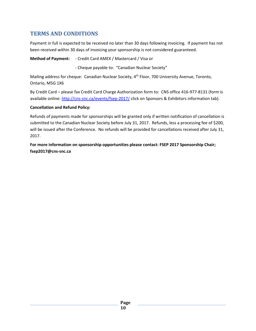# <span id="page-9-0"></span>**TERMS AND CONDITIONS**

Payment in full is expected to be received no later than 30 days following invoicing. If payment has not been received within 30 days of invoicing your sponsorship is not considered guaranteed.

**Method of Payment:** - Credit Card AMEX / Mastercard / Visa or

- Cheque payable to: "Canadian Nuclear Society"

Mailing address for cheque: Canadian Nuclear Society, 4<sup>th</sup> Floor, 700 University Avenue, Toronto, Ontario, M5G 1X6

By Credit Card – please fax Credit Card Charge Authorization form to: CNS office 416-977-8131 (form is available online[: http://cns-snc.ca/events/fsep-2017/](http://cns-snc.ca/events/fsep-2015/) click on Sponsors & Exhibitors information tab).

#### **Cancellation and Refund Policy:**

Refunds of payments made for sponsorships will be granted only if written notification of cancellation is submitted to the Canadian Nuclear Society before July 31, 2017. Refunds, less a processing fee of \$200, will be issued after the Conference. No refunds will be provided for cancellations received after July 31, 2017.

**For more information on sponsorship opportunities please contact: FSEP 2017 Sponsorship Chair; fsep2017@cns-snc.ca**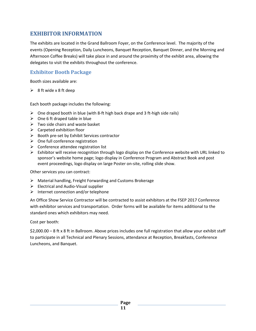# <span id="page-10-0"></span>**EXHIBITOR INFORMATION**

The exhibits are located in the Grand Ballroom Foyer, on the Conference level. The majority of the events (Opening Reception, Daily Luncheons, Banquet Reception, Banquet Dinner, and the Morning and Afternoon Coffee Breaks) will take place in and around the proximity of the exhibit area, allowing the delegates to visit the exhibits throughout the conference.

# <span id="page-10-1"></span>**Exhibitor Booth Package**

Booth sizes available are:

 $\geq$  8 ft wide x 8 ft deep

Each booth package includes the following:

- $\triangleright$  One draped booth in blue (with 8-ft high back drape and 3 ft-high side rails)
- $\triangleright$  One 6 ft draped table in blue
- $\triangleright$  Two side chairs and waste basket
- $\triangleright$  Carpeted exhibition floor
- $\triangleright$  Booth pre-set by Exhibit Services contractor
- $\triangleright$  One full conference registration
- $\triangleright$  Conference attendee registration list
- $\triangleright$  Exhibitor will receive recognition through logo display on the Conference website with URL linked to sponsor's website home page; logo display in Conference Program and Abstract Book and post event proceedings, logo display on large Poster on-site, rolling slide show.

Other services you can contract:

- $\triangleright$  Material handling, Freight Forwarding and Customs Brokerage
- $\triangleright$  Electrical and Audio-Visual supplier
- $\triangleright$  Internet connection and/or telephone

An Office Show Service Contractor will be contracted to assist exhibitors at the FSEP 2017 Conference with exhibitor services and transportation. Order forms will be available for items additional to the standard ones which exhibitors may need.

Cost per booth:

\$2,000.00 – 8 ft x 8 ft in Ballroom. Above prices includes one full registration that allow your exhibit staff to participate in all Technical and Plenary Sessions, attendance at Reception, Breakfasts, Conference Luncheons, and Banquet.